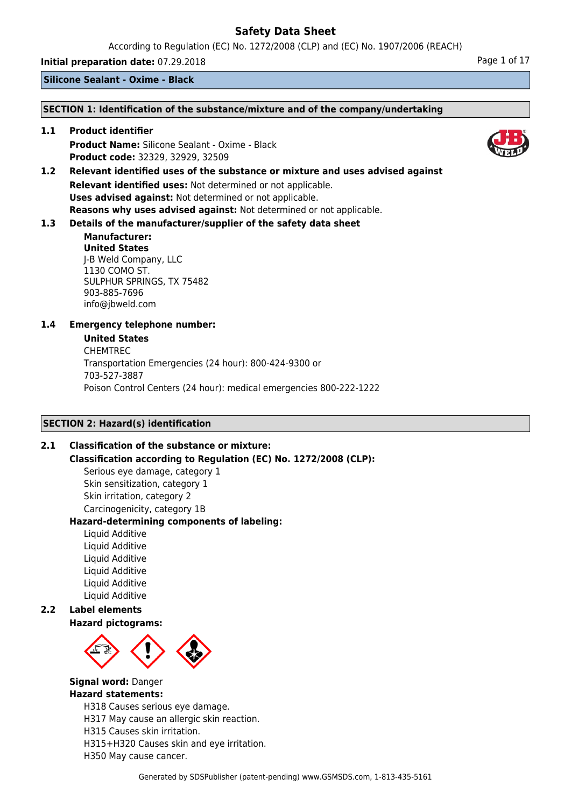According to Regulation (EC) No. 1272/2008 (CLP) and (EC) No. 1907/2006 (REACH)

**Initial preparation date:** 07.29.2018 **Page 1 of 17** Page 1 of 17

**Silicone Sealant - Oxime - Black**

### **SECTION 1: Identification of the substance/mixture and of the company/undertaking**

**1.1 Product identifier Product Name:** Silicone Sealant - Oxime - Black **Product code:** 32329, 32929, 32509

**1.2 Relevant identified uses of the substance or mixture and uses advised against Relevant identified uses:** Not determined or not applicable. **Uses advised against:** Not determined or not applicable. **Reasons why uses advised against:** Not determined or not applicable.

## **1.3 Details of the manufacturer/supplier of the safety data sheet**

### **Manufacturer: United States** J-B Weld Company, LLC 1130 COMO ST. SULPHUR SPRINGS, TX 75482 903-885-7696 info@jbweld.com

## **1.4 Emergency telephone number:**

### **United States**

CHEMTREC Transportation Emergencies (24 hour): 800-424-9300 or 703-527-3887 Poison Control Centers (24 hour): medical emergencies 800-222-1222

## **SECTION 2: Hazard(s) identification**

## **2.1 Classification of the substance or mixture:**

**Classification according to Regulation (EC) No. 1272/2008 (CLP):**

Serious eye damage, category 1 Skin sensitization, category 1 Skin irritation, category 2 Carcinogenicity, category 1B

## **Hazard-determining components of labeling:**

Liquid Additive Liquid Additive Liquid Additive Liquid Additive Liquid Additive Liquid Additive

## **2.2 Label elements**

## **Hazard pictograms:**



#### **Signal word:** Danger **Hazard statements:**

H318 Causes serious eye damage.

H317 May cause an allergic skin reaction.

H315 Causes skin irritation.

H315+H320 Causes skin and eye irritation.

H350 May cause cancer.



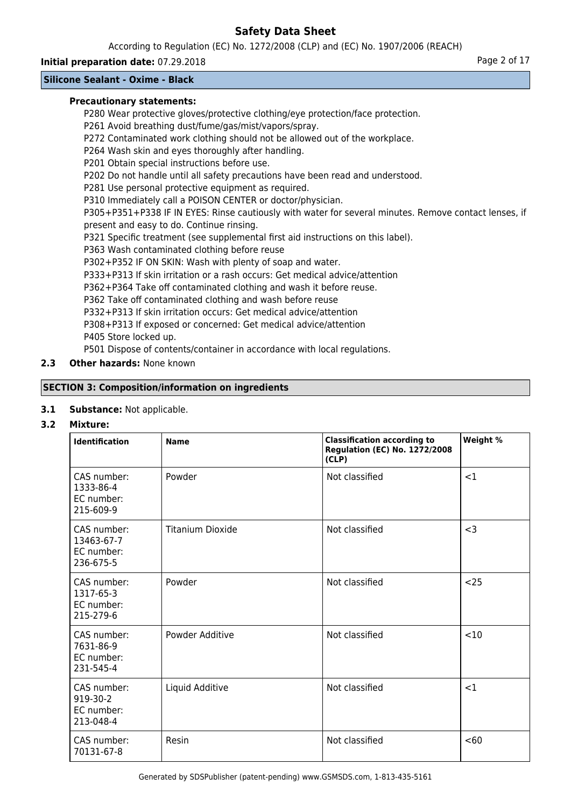According to Regulation (EC) No. 1272/2008 (CLP) and (EC) No. 1907/2006 (REACH)

## **Initial preparation date:** 07.29.2018 **Page 2 of 17** Page 2 of 17

## **Silicone Sealant - Oxime - Black**

### **Precautionary statements:**

P280 Wear protective gloves/protective clothing/eye protection/face protection.

P261 Avoid breathing dust/fume/gas/mist/vapors/spray.

P272 Contaminated work clothing should not be allowed out of the workplace.

P264 Wash skin and eyes thoroughly after handling.

P201 Obtain special instructions before use.

P202 Do not handle until all safety precautions have been read and understood.

P281 Use personal protective equipment as required.

P310 Immediately call a POISON CENTER or doctor/physician.

P305+P351+P338 IF IN EYES: Rinse cautiously with water for several minutes. Remove contact lenses, if present and easy to do. Continue rinsing.

P321 Specific treatment (see supplemental first aid instructions on this label).

P363 Wash contaminated clothing before reuse

P302+P352 IF ON SKIN: Wash with plenty of soap and water.

P333+P313 If skin irritation or a rash occurs: Get medical advice/attention

P362+P364 Take off contaminated clothing and wash it before reuse.

P362 Take off contaminated clothing and wash before reuse

P332+P313 If skin irritation occurs: Get medical advice/attention

P308+P313 If exposed or concerned: Get medical advice/attention P405 Store locked up.

P501 Dispose of contents/container in accordance with local regulations.

## **2.3 Other hazards:** None known

## **SECTION 3: Composition/information on ingredients**

## **3.1 Substance:** Not applicable.

## **3.2 Mixture:**

| <b>Identification</b>                                | <b>Name</b>             | <b>Classification according to</b><br><b>Regulation (EC) No. 1272/2008</b><br>(CLP) | Weight % |
|------------------------------------------------------|-------------------------|-------------------------------------------------------------------------------------|----------|
| CAS number:<br>1333-86-4<br>EC number:<br>215-609-9  | Powder                  | Not classified                                                                      | <1       |
| CAS number:<br>13463-67-7<br>EC number:<br>236-675-5 | <b>Titanium Dioxide</b> | Not classified                                                                      | $<$ 3    |
| CAS number:<br>1317-65-3<br>EC number:<br>215-279-6  | Powder                  | Not classified                                                                      | $25$     |
| CAS number:<br>7631-86-9<br>EC number:<br>231-545-4  | Powder Additive         | Not classified                                                                      | <10      |
| CAS number:<br>919-30-2<br>EC number:<br>213-048-4   | Liquid Additive         | Not classified                                                                      | <1       |
| CAS number:<br>70131-67-8                            | Resin                   | Not classified                                                                      | < 60     |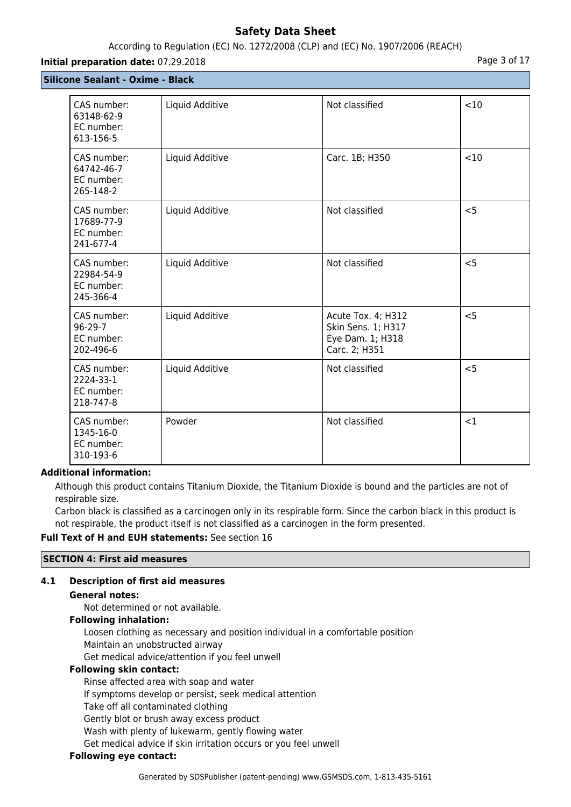## According to Regulation (EC) No. 1272/2008 (CLP) and (EC) No. 1907/2006 (REACH)

### **Initial preparation date:** 07.29.2018 **Page 3 of 17**

**Silicone Sealant - Oxime - Black**

| CAS number:<br>63148-62-9<br>EC number:<br>613-156-5 | Liquid Additive | Not classified                                                                | <10   |
|------------------------------------------------------|-----------------|-------------------------------------------------------------------------------|-------|
| CAS number:<br>64742-46-7<br>EC number:<br>265-148-2 | Liquid Additive | Carc. 1B; H350                                                                | < 10  |
| CAS number:<br>17689-77-9<br>EC number:<br>241-677-4 | Liquid Additive | Not classified                                                                | < 5   |
| CAS number:<br>22984-54-9<br>EC number:<br>245-366-4 | Liquid Additive | Not classified                                                                | $<$ 5 |
| CAS number:<br>$96-29-7$<br>EC number:<br>202-496-6  | Liquid Additive | Acute Tox. 4; H312<br>Skin Sens. 1; H317<br>Eye Dam. 1; H318<br>Carc. 2; H351 | < 5   |
| CAS number:<br>2224-33-1<br>EC number:<br>218-747-8  | Liquid Additive | Not classified                                                                | < 5   |
| CAS number:<br>1345-16-0<br>EC number:<br>310-193-6  | Powder          | Not classified                                                                | <1    |

## **Additional information:**

Although this product contains Titanium Dioxide, the Titanium Dioxide is bound and the particles are not of respirable size.

Carbon black is classified as a carcinogen only in its respirable form. Since the carbon black in this product is not respirable, the product itself is not classified as a carcinogen in the form presented.

#### **Full Text of H and EUH statements:** See section 16

#### **SECTION 4: First aid measures**

## **4.1 Description of first aid measures**

#### **General notes:**

Not determined or not available.

### **Following inhalation:**

Loosen clothing as necessary and position individual in a comfortable position Maintain an unobstructed airway

Get medical advice/attention if you feel unwell

### **Following skin contact:**

Rinse affected area with soap and water

If symptoms develop or persist, seek medical attention

Take off all contaminated clothing

Gently blot or brush away excess product

Wash with plenty of lukewarm, gently flowing water

Get medical advice if skin irritation occurs or you feel unwell

## **Following eye contact:**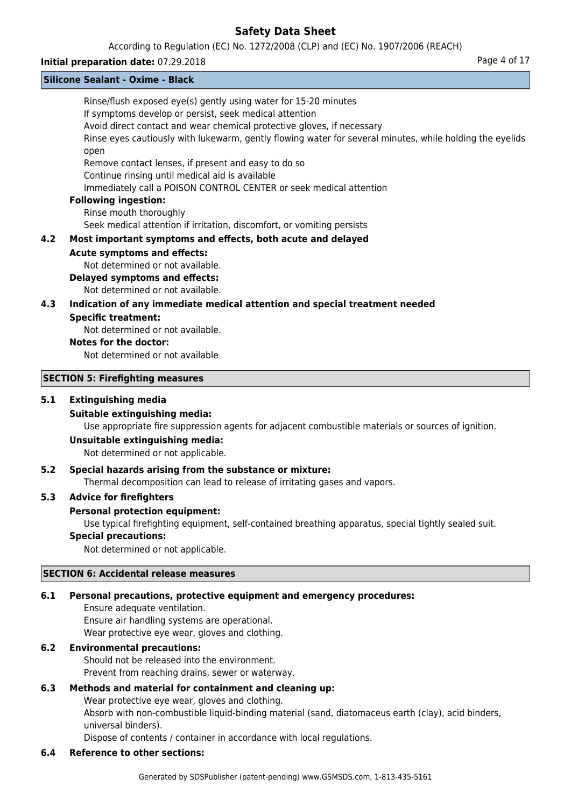According to Regulation (EC) No. 1272/2008 (CLP) and (EC) No. 1907/2006 (REACH)

### **Initial preparation date:** 07.29.2018 **Page 4 of 17**

|     | <b>Silicone Sealant - Oxime - Black</b>                                                                                                                                                                                                                                                                         |
|-----|-----------------------------------------------------------------------------------------------------------------------------------------------------------------------------------------------------------------------------------------------------------------------------------------------------------------|
|     | Rinse/flush exposed eye(s) gently using water for 15-20 minutes<br>If symptoms develop or persist, seek medical attention<br>Avoid direct contact and wear chemical protective gloves, if necessary<br>Rinse eyes cautiously with lukewarm, gently flowing water for several minutes, while holding the eyelids |
|     | open<br>Remove contact lenses, if present and easy to do so<br>Continue rinsing until medical aid is available<br>Immediately call a POISON CONTROL CENTER or seek medical attention                                                                                                                            |
|     | <b>Following ingestion:</b><br>Rinse mouth thoroughly                                                                                                                                                                                                                                                           |
| 4.2 | Seek medical attention if irritation, discomfort, or vomiting persists<br>Most important symptoms and effects, both acute and delayed                                                                                                                                                                           |
|     | <b>Acute symptoms and effects:</b><br>Not determined or not available.<br><b>Delayed symptoms and effects:</b>                                                                                                                                                                                                  |
| 4.3 | Not determined or not available.<br>Indication of any immediate medical attention and special treatment needed                                                                                                                                                                                                  |
|     | <b>Specific treatment:</b><br>Not determined or not available.                                                                                                                                                                                                                                                  |
|     | <b>Notes for the doctor:</b><br>Not determined or not available                                                                                                                                                                                                                                                 |
|     | <b>SECTION 5: Firefighting measures</b>                                                                                                                                                                                                                                                                         |
| 5.1 | <b>Extinguishing media</b><br><b>Suitable extinguishing media:</b><br>Use appropriate fire suppression agents for adjacent combustible materials or sources of ignition.                                                                                                                                        |

#### **Unsuitable extinguishing media:**

Not determined or not applicable.

## **5.2 Special hazards arising from the substance or mixture:**

Thermal decomposition can lead to release of irritating gases and vapors.

### **5.3 Advice for firefighters**

#### **Personal protection equipment:**

Use typical firefighting equipment, self-contained breathing apparatus, special tightly sealed suit.

## **Special precautions:**

Not determined or not applicable.

## **SECTION 6: Accidental release measures**

## **6.1 Personal precautions, protective equipment and emergency procedures:**

Ensure adequate ventilation. Ensure air handling systems are operational. Wear protective eye wear, gloves and clothing.

## **6.2 Environmental precautions:**

Should not be released into the environment. Prevent from reaching drains, sewer or waterway.

## **6.3 Methods and material for containment and cleaning up:**

Wear protective eye wear, gloves and clothing.

Absorb with non-combustible liquid-binding material (sand, diatomaceus earth (clay), acid binders, universal binders).

Dispose of contents / container in accordance with local regulations.

## **6.4 Reference to other sections:**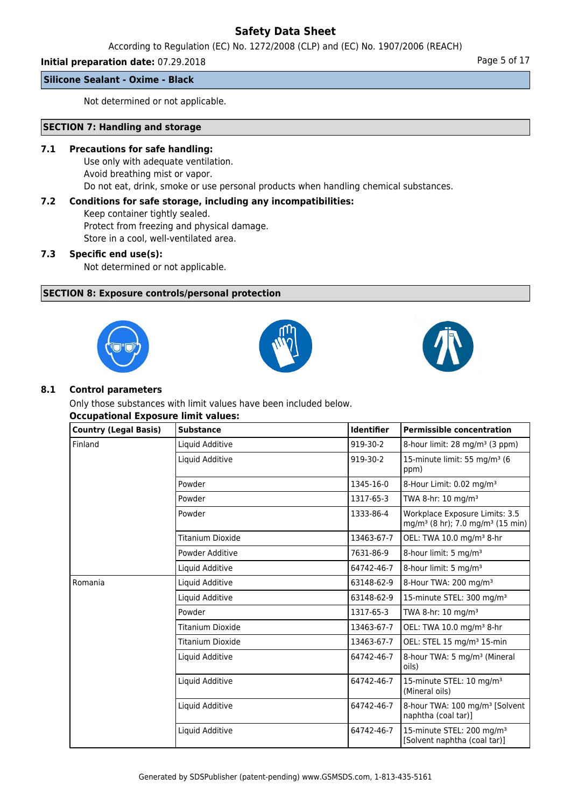According to Regulation (EC) No. 1272/2008 (CLP) and (EC) No. 1907/2006 (REACH)

## **Initial preparation date:** 07.29.2018 **Page 1 and 2018** Page 5 of 17

**Silicone Sealant - Oxime - Black**

Not determined or not applicable.

## **SECTION 7: Handling and storage**

### **7.1 Precautions for safe handling:**

Use only with adequate ventilation. Avoid breathing mist or vapor. Do not eat, drink, smoke or use personal products when handling chemical substances.

## **7.2 Conditions for safe storage, including any incompatibilities:**

Keep container tightly sealed. Protect from freezing and physical damage. Store in a cool, well-ventilated area.

## **7.3 Specific end use(s):**

Not determined or not applicable.

## **SECTION 8: Exposure controls/personal protection**







### **8.1 Control parameters**

Only those substances with limit values have been included below. **Occupational Exposure limit values:**

| <b>Country (Legal Basis)</b> | <b>Substance</b> | <b>Identifier</b> | <b>Permissible concentration</b>                                                           |
|------------------------------|------------------|-------------------|--------------------------------------------------------------------------------------------|
| Finland                      | Liquid Additive  | 919-30-2          | 8-hour limit: 28 mg/m <sup>3</sup> (3 ppm)                                                 |
|                              | Liquid Additive  | 919-30-2          | 15-minute limit: 55 mg/m <sup>3</sup> (6<br>ppm)                                           |
|                              | Powder           | 1345-16-0         | 8-Hour Limit: 0.02 mg/m <sup>3</sup>                                                       |
|                              | Powder           | 1317-65-3         | TWA 8-hr: 10 mg/m <sup>3</sup>                                                             |
|                              | Powder           | 1333-86-4         | Workplace Exposure Limits: 3.5<br>mg/m <sup>3</sup> (8 hr); 7.0 mg/m <sup>3</sup> (15 min) |
|                              | Titanium Dioxide | 13463-67-7        | OEL: TWA 10.0 mg/m <sup>3</sup> 8-hr                                                       |
|                              | Powder Additive  | 7631-86-9         | 8-hour limit: 5 mg/m <sup>3</sup>                                                          |
|                              | Liquid Additive  | 64742-46-7        | 8-hour limit: 5 mg/m <sup>3</sup>                                                          |
| Romania                      | Liquid Additive  | 63148-62-9        | 8-Hour TWA: 200 mg/m <sup>3</sup>                                                          |
|                              | Liquid Additive  | 63148-62-9        | 15-minute STEL: 300 mg/m <sup>3</sup>                                                      |
|                              | Powder           | 1317-65-3         | TWA 8-hr: 10 mg/m <sup>3</sup>                                                             |
|                              | Titanium Dioxide | 13463-67-7        | OEL: TWA 10.0 mg/m <sup>3</sup> 8-hr                                                       |
|                              | Titanium Dioxide | 13463-67-7        | OEL: STEL 15 mg/m <sup>3</sup> 15-min                                                      |
|                              | Liquid Additive  | 64742-46-7        | 8-hour TWA: 5 mg/m <sup>3</sup> (Mineral<br>oils)                                          |
|                              | Liquid Additive  | 64742-46-7        | 15-minute STEL: 10 mg/m <sup>3</sup><br>(Mineral oils)                                     |
|                              | Liquid Additive  | 64742-46-7        | 8-hour TWA: 100 mg/m <sup>3</sup> [Solvent<br>naphtha (coal tar)]                          |
|                              | Liquid Additive  | 64742-46-7        | 15-minute STEL: 200 mg/m <sup>3</sup><br>[Solvent naphtha (coal tar)]                      |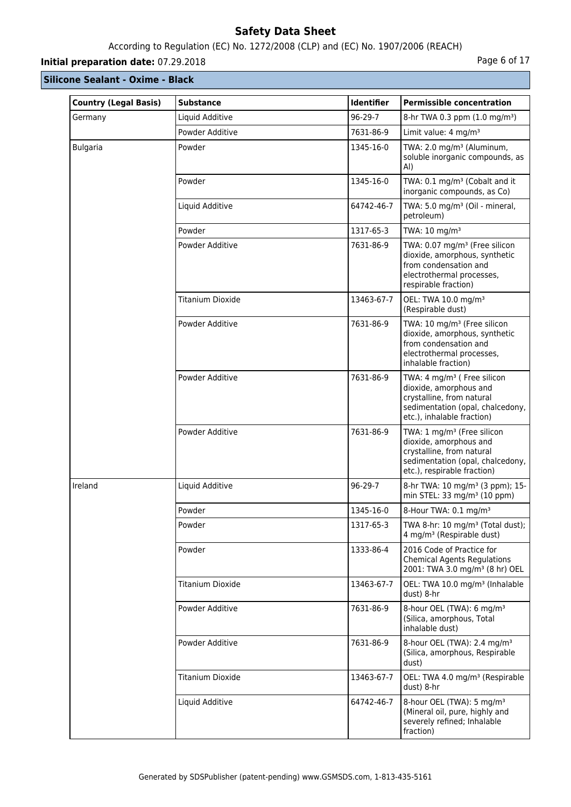## According to Regulation (EC) No. 1272/2008 (CLP) and (EC) No. 1907/2006 (REACH)

# **Initial preparation date:** 07.29.2018 **Page 6 of 17**

| <b>Country (Legal Basis)</b> | <b>Substance</b>        | Identifier | <b>Permissible concentration</b>                                                                                                                                 |
|------------------------------|-------------------------|------------|------------------------------------------------------------------------------------------------------------------------------------------------------------------|
| Germany                      | Liquid Additive         | 96-29-7    | 8-hr TWA 0.3 ppm (1.0 mg/m <sup>3</sup> )                                                                                                                        |
|                              | Powder Additive         | 7631-86-9  | Limit value: 4 mg/m <sup>3</sup>                                                                                                                                 |
| <b>Bulgaria</b>              | Powder                  | 1345-16-0  | TWA: 2.0 mg/m <sup>3</sup> (Aluminum,<br>soluble inorganic compounds, as<br>AI)                                                                                  |
|                              | Powder                  | 1345-16-0  | TWA: 0.1 mg/m <sup>3</sup> (Cobalt and it<br>inorganic compounds, as Co)                                                                                         |
|                              | Liquid Additive         | 64742-46-7 | TWA: 5.0 mg/m <sup>3</sup> (Oil - mineral,<br>petroleum)                                                                                                         |
|                              | Powder                  | 1317-65-3  | TWA: 10 mg/m <sup>3</sup>                                                                                                                                        |
|                              | Powder Additive         | 7631-86-9  | TWA: 0.07 mg/m <sup>3</sup> (Free silicon<br>dioxide, amorphous, synthetic<br>from condensation and<br>electrothermal processes,<br>respirable fraction)         |
|                              | <b>Titanium Dioxide</b> | 13463-67-7 | OEL: TWA 10.0 mg/m <sup>3</sup><br>(Respirable dust)                                                                                                             |
|                              | Powder Additive         | 7631-86-9  | TWA: 10 mg/m <sup>3</sup> (Free silicon<br>dioxide, amorphous, synthetic<br>from condensation and<br>electrothermal processes,<br>inhalable fraction)            |
|                              | Powder Additive         | 7631-86-9  | TWA: 4 mg/m <sup>3</sup> ( Free silicon<br>dioxide, amorphous and<br>crystalline, from natural<br>sedimentation (opal, chalcedony,<br>etc.), inhalable fraction) |
|                              | Powder Additive         | 7631-86-9  | TWA: 1 mg/m <sup>3</sup> (Free silicon<br>dioxide, amorphous and<br>crystalline, from natural<br>sedimentation (opal, chalcedony,<br>etc.), respirable fraction) |
| Ireland                      | Liquid Additive         | 96-29-7    | 8-hr TWA: 10 mg/m <sup>3</sup> (3 ppm); 15-<br>min STEL: 33 mg/m <sup>3</sup> (10 ppm)                                                                           |
|                              | Powder                  | 1345-16-0  | 8-Hour TWA: 0.1 mg/m <sup>3</sup>                                                                                                                                |
|                              | Powder                  | 1317-65-3  | TWA 8-hr: 10 mg/m <sup>3</sup> (Total dust);<br>4 mg/m <sup>3</sup> (Respirable dust)                                                                            |
|                              | Powder                  | 1333-86-4  | 2016 Code of Practice for<br><b>Chemical Agents Regulations</b><br>2001: TWA 3.0 mg/m <sup>3</sup> (8 hr) OEL                                                    |
|                              | <b>Titanium Dioxide</b> | 13463-67-7 | OEL: TWA 10.0 mg/m <sup>3</sup> (Inhalable<br>dust) 8-hr                                                                                                         |
|                              | Powder Additive         | 7631-86-9  | 8-hour OEL (TWA): 6 mg/m <sup>3</sup><br>(Silica, amorphous, Total<br>inhalable dust)                                                                            |
|                              | Powder Additive         | 7631-86-9  | 8-hour OEL (TWA): 2.4 mg/m <sup>3</sup><br>(Silica, amorphous, Respirable<br>dust)                                                                               |
|                              | <b>Titanium Dioxide</b> | 13463-67-7 | OEL: TWA 4.0 mg/m <sup>3</sup> (Respirable<br>dust) 8-hr                                                                                                         |
|                              | Liquid Additive         | 64742-46-7 | 8-hour OEL (TWA): 5 mg/m <sup>3</sup><br>(Mineral oil, pure, highly and<br>severely refined; Inhalable<br>fraction)                                              |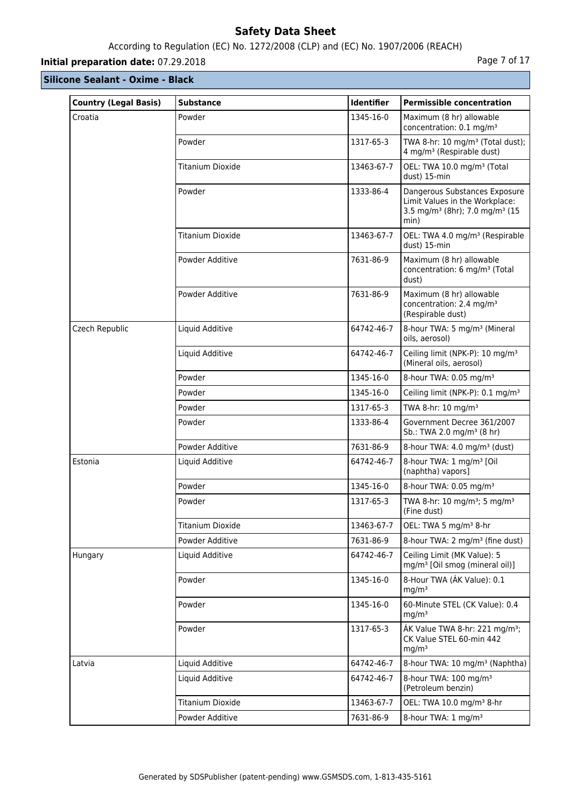# According to Regulation (EC) No. 1272/2008 (CLP) and (EC) No. 1907/2006 (REACH)

# **Initial preparation date:** 07.29.2018 **Page 7 of 17**

| <b>Country (Legal Basis)</b> | <b>Substance</b>        | <b>Identifier</b> | <b>Permissible concentration</b>                                                                                                  |
|------------------------------|-------------------------|-------------------|-----------------------------------------------------------------------------------------------------------------------------------|
| Croatia                      | Powder                  | 1345-16-0         | Maximum (8 hr) allowable<br>concentration: 0.1 mg/m <sup>3</sup>                                                                  |
|                              | Powder                  | 1317-65-3         | TWA 8-hr: 10 mg/m <sup>3</sup> (Total dust);<br>4 mg/m <sup>3</sup> (Respirable dust)                                             |
|                              | Titanium Dioxide        | 13463-67-7        | OEL: TWA 10.0 mg/m <sup>3</sup> (Total<br>dust) 15-min                                                                            |
|                              | Powder                  | 1333-86-4         | Dangerous Substances Exposure<br>Limit Values in the Workplace:<br>3.5 mg/m <sup>3</sup> (8hr); 7.0 mg/m <sup>3</sup> (15<br>min) |
|                              | <b>Titanium Dioxide</b> | 13463-67-7        | OEL: TWA 4.0 mg/m <sup>3</sup> (Respirable<br>dust) 15-min                                                                        |
|                              | Powder Additive         | 7631-86-9         | Maximum (8 hr) allowable<br>concentration: 6 mg/m <sup>3</sup> (Total<br>dust)                                                    |
|                              | Powder Additive         | 7631-86-9         | Maximum (8 hr) allowable<br>concentration: 2.4 mg/m <sup>3</sup><br>(Respirable dust)                                             |
| Czech Republic               | Liquid Additive         | 64742-46-7        | 8-hour TWA: 5 mg/m <sup>3</sup> (Mineral<br>oils, aerosol)                                                                        |
|                              | Liquid Additive         | 64742-46-7        | Ceiling limit (NPK-P): 10 mg/m <sup>3</sup><br>(Mineral oils, aerosol)                                                            |
|                              | Powder                  | 1345-16-0         | 8-hour TWA: 0.05 mg/m <sup>3</sup>                                                                                                |
|                              | Powder                  | 1345-16-0         | Ceiling limit (NPK-P): 0.1 mg/m <sup>3</sup>                                                                                      |
|                              | Powder                  | 1317-65-3         | TWA 8-hr: 10 mg/m <sup>3</sup>                                                                                                    |
|                              | Powder                  | 1333-86-4         | Government Decree 361/2007<br>Sb.: TWA 2.0 mg/m <sup>3</sup> (8 hr)                                                               |
|                              | Powder Additive         | 7631-86-9         | 8-hour TWA: 4.0 mg/m <sup>3</sup> (dust)                                                                                          |
| Estonia                      | Liquid Additive         | 64742-46-7        | 8-hour TWA: 1 mg/m <sup>3</sup> [Oil<br>(naphtha) vapors]                                                                         |
|                              | Powder                  | 1345-16-0         | 8-hour TWA: 0.05 mg/m <sup>3</sup>                                                                                                |
|                              | Powder                  | 1317-65-3         | TWA 8-hr: 10 mg/m <sup>3</sup> ; 5 mg/m <sup>3</sup><br>(Fine dust)                                                               |
|                              | <b>Titanium Dioxide</b> | 13463-67-7        | OEL: TWA 5 mg/m <sup>3</sup> 8-hr                                                                                                 |
|                              | Powder Additive         | 7631-86-9         | 8-hour TWA: 2 mg/m <sup>3</sup> (fine dust)                                                                                       |
| Hungary                      | Liquid Additive         | 64742-46-7        | Ceiling Limit (MK Value): 5<br>mg/m <sup>3</sup> [Oil smog (mineral oil)]                                                         |
|                              | Powder                  | 1345-16-0         | 8-Hour TWA (AK Value): 0.1<br>mg/m <sup>3</sup>                                                                                   |
|                              | Powder                  | 1345-16-0         | 60-Minute STEL (CK Value): 0.4<br>mg/m <sup>3</sup>                                                                               |
|                              | Powder                  | 1317-65-3         | ÁK Value TWA 8-hr: 221 mg/m <sup>3</sup> ;<br>CK Value STEL 60-min 442<br>mg/m <sup>3</sup>                                       |
| Latvia                       | Liquid Additive         | 64742-46-7        | 8-hour TWA: 10 mg/m <sup>3</sup> (Naphtha)                                                                                        |
|                              | Liquid Additive         | 64742-46-7        | 8-hour TWA: 100 mg/m <sup>3</sup><br>(Petroleum benzin)                                                                           |
|                              | <b>Titanium Dioxide</b> | 13463-67-7        | OEL: TWA 10.0 mg/m <sup>3</sup> 8-hr                                                                                              |
|                              | Powder Additive         | 7631-86-9         | 8-hour TWA: 1 mg/m <sup>3</sup>                                                                                                   |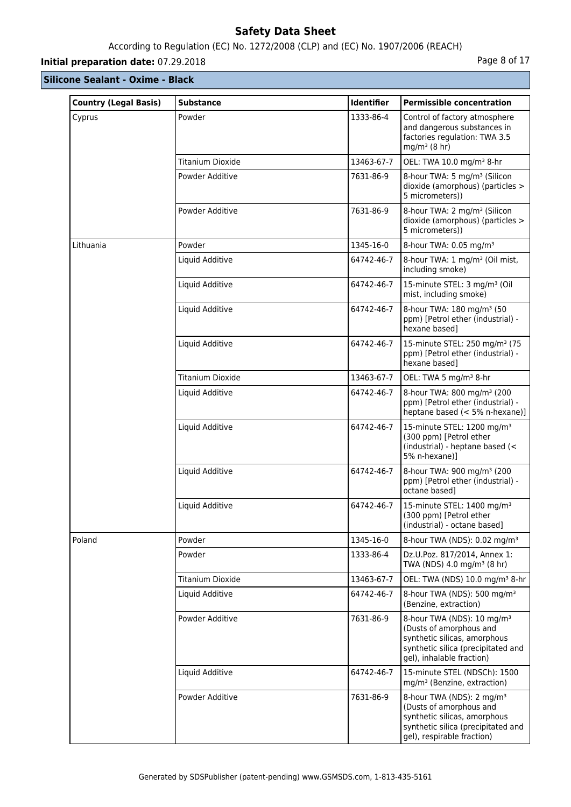# According to Regulation (EC) No. 1272/2008 (CLP) and (EC) No. 1907/2006 (REACH)

# **Initial preparation date:** 07.29.2018 **Page 8 of 17**

| <b>Country (Legal Basis)</b> | <b>Substance</b>        | <b>Identifier</b> | <b>Permissible concentration</b>                                                                                                                                     |
|------------------------------|-------------------------|-------------------|----------------------------------------------------------------------------------------------------------------------------------------------------------------------|
| Cyprus                       | Powder                  | 1333-86-4         | Control of factory atmosphere<br>and dangerous substances in<br>factories regulation: TWA 3.5<br>$mg/m3$ (8 hr)                                                      |
|                              | <b>Titanium Dioxide</b> | 13463-67-7        | OEL: TWA 10.0 mg/m <sup>3</sup> 8-hr                                                                                                                                 |
|                              | Powder Additive         | 7631-86-9         | 8-hour TWA: 5 mg/m <sup>3</sup> (Silicon<br>dioxide (amorphous) (particles ><br>5 micrometers))                                                                      |
|                              | Powder Additive         | 7631-86-9         | 8-hour TWA: 2 mg/m <sup>3</sup> (Silicon<br>dioxide (amorphous) (particles ><br>5 micrometers))                                                                      |
| Lithuania                    | Powder                  | 1345-16-0         | 8-hour TWA: 0.05 mg/m <sup>3</sup>                                                                                                                                   |
|                              | Liquid Additive         | 64742-46-7        | 8-hour TWA: 1 mg/m <sup>3</sup> (Oil mist,<br>including smoke)                                                                                                       |
|                              | Liquid Additive         | 64742-46-7        | 15-minute STEL: 3 mg/m <sup>3</sup> (Oil<br>mist, including smoke)                                                                                                   |
|                              | Liquid Additive         | 64742-46-7        | 8-hour TWA: 180 mg/m <sup>3</sup> (50<br>ppm) [Petrol ether (industrial) -<br>hexane based]                                                                          |
|                              | Liquid Additive         | 64742-46-7        | 15-minute STEL: 250 mg/m <sup>3</sup> (75<br>ppm) [Petrol ether (industrial) -<br>hexane based]                                                                      |
|                              | <b>Titanium Dioxide</b> | 13463-67-7        | OEL: TWA 5 mg/m <sup>3</sup> 8-hr                                                                                                                                    |
|                              | Liquid Additive         | 64742-46-7        | 8-hour TWA: 800 mg/m <sup>3</sup> (200<br>ppm) [Petrol ether (industrial) -<br>heptane based (< 5% n-hexane)]                                                        |
|                              | Liquid Additive         | 64742-46-7        | 15-minute STEL: 1200 mg/m <sup>3</sup><br>(300 ppm) [Petrol ether<br>(industrial) - heptane based (<<br>5% n-hexane)1                                                |
|                              | Liquid Additive         | 64742-46-7        | 8-hour TWA: 900 mg/m <sup>3</sup> (200<br>ppm) [Petrol ether (industrial) -<br>octane based]                                                                         |
|                              | Liquid Additive         | 64742-46-7        | 15-minute STEL: 1400 mg/m <sup>3</sup><br>(300 ppm) [Petrol ether<br>(industrial) - octane based]                                                                    |
| Poland                       | Powder                  | 1345-16-0         | 8-hour TWA (NDS): 0.02 mg/m <sup>3</sup>                                                                                                                             |
|                              | Powder                  | 1333-86-4         | Dz.U.Poz. 817/2014, Annex 1:<br>TWA (NDS) 4.0 mg/m <sup>3</sup> (8 hr)                                                                                               |
|                              | <b>Titanium Dioxide</b> | 13463-67-7        | OEL: TWA (NDS) 10.0 mg/m <sup>3</sup> 8-hr                                                                                                                           |
|                              | Liquid Additive         | 64742-46-7        | 8-hour TWA (NDS): 500 mg/m <sup>3</sup><br>(Benzine, extraction)                                                                                                     |
|                              | Powder Additive         | 7631-86-9         | 8-hour TWA (NDS): 10 mg/m <sup>3</sup><br>(Dusts of amorphous and<br>synthetic silicas, amorphous<br>synthetic silica (precipitated and<br>gel), inhalable fraction) |
|                              | Liquid Additive         | 64742-46-7        | 15-minute STEL (NDSCh): 1500<br>mg/m <sup>3</sup> (Benzine, extraction)                                                                                              |
|                              | Powder Additive         | 7631-86-9         | 8-hour TWA (NDS): 2 mg/m <sup>3</sup><br>(Dusts of amorphous and<br>synthetic silicas, amorphous<br>synthetic silica (precipitated and<br>gel), respirable fraction) |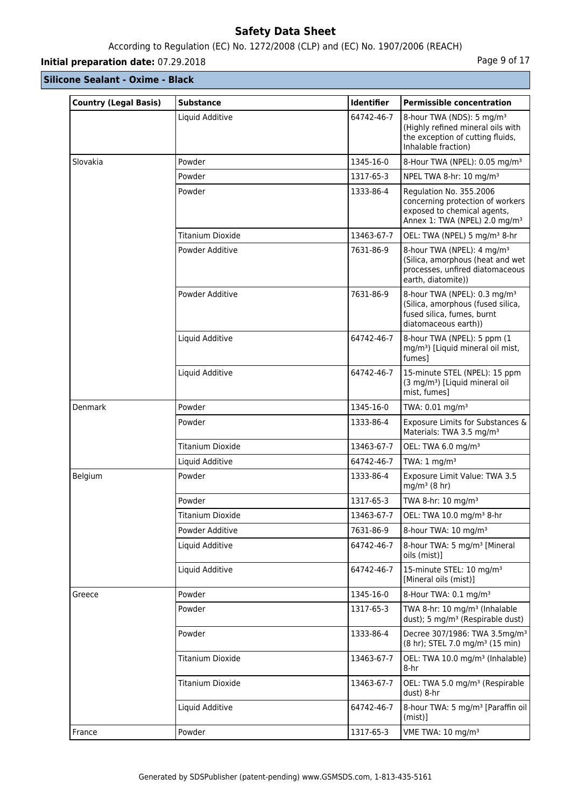# According to Regulation (EC) No. 1272/2008 (CLP) and (EC) No. 1907/2006 (REACH)

# **Initial preparation date:** 07.29.2018 **Page 9 of 17**

| <b>Country (Legal Basis)</b> | <b>Substance</b>        | <b>Identifier</b> | <b>Permissible concentration</b>                                                                                                        |
|------------------------------|-------------------------|-------------------|-----------------------------------------------------------------------------------------------------------------------------------------|
|                              | Liquid Additive         | 64742-46-7        | 8-hour TWA (NDS): 5 mg/m <sup>3</sup><br>(Highly refined mineral oils with<br>the exception of cutting fluids,<br>Inhalable fraction)   |
| Slovakia                     | Powder                  | 1345-16-0         | 8-Hour TWA (NPEL): 0.05 mg/m <sup>3</sup>                                                                                               |
|                              | Powder                  | 1317-65-3         | NPEL TWA 8-hr: 10 mg/m <sup>3</sup>                                                                                                     |
|                              | Powder                  | 1333-86-4         | Regulation No. 355.2006<br>concerning protection of workers<br>exposed to chemical agents,<br>Annex 1: TWA (NPEL) 2.0 mg/m <sup>3</sup> |
|                              | Titanium Dioxide        | 13463-67-7        | OEL: TWA (NPEL) 5 mg/m <sup>3</sup> 8-hr                                                                                                |
|                              | Powder Additive         | 7631-86-9         | 8-hour TWA (NPEL): 4 mg/m <sup>3</sup><br>(Silica, amorphous (heat and wet<br>processes, unfired diatomaceous<br>earth, diatomite))     |
|                              | Powder Additive         | 7631-86-9         | 8-hour TWA (NPEL): 0.3 mg/m <sup>3</sup><br>(Silica, amorphous (fused silica,<br>fused silica, fumes, burnt<br>diatomaceous earth))     |
|                              | Liquid Additive         | 64742-46-7        | 8-hour TWA (NPEL): 5 ppm (1)<br>mg/m <sup>3</sup> ) [Liquid mineral oil mist,<br>fumes]                                                 |
|                              | Liquid Additive         | 64742-46-7        | 15-minute STEL (NPEL): 15 ppm<br>(3 mg/m <sup>3</sup> ) [Liquid mineral oil<br>mist, fumes]                                             |
| Denmark                      | Powder                  | 1345-16-0         | TWA: 0.01 mg/m <sup>3</sup>                                                                                                             |
|                              | Powder                  | 1333-86-4         | Exposure Limits for Substances &<br>Materials: TWA 3.5 mg/m <sup>3</sup>                                                                |
|                              | <b>Titanium Dioxide</b> | 13463-67-7        | OEL: TWA 6.0 mg/m <sup>3</sup>                                                                                                          |
|                              | Liquid Additive         | 64742-46-7        | TWA: $1 \text{ mg/m}^3$                                                                                                                 |
| Belgium                      | Powder                  | 1333-86-4         | Exposure Limit Value: TWA 3.5<br>$mg/m3$ (8 hr)                                                                                         |
|                              | Powder                  | 1317-65-3         | TWA 8-hr: $10 \text{ mg/m}^3$                                                                                                           |
|                              | Titanium Dioxide        | 13463-67-7        | OEL: TWA 10.0 mg/m <sup>3</sup> 8-hr                                                                                                    |
|                              | Powder Additive         | 7631-86-9         | 8-hour TWA: 10 mg/m <sup>3</sup>                                                                                                        |
|                              | Liquid Additive         | 64742-46-7        | 8-hour TWA: 5 mg/m <sup>3</sup> [Mineral<br>oils (mist)]                                                                                |
|                              | Liquid Additive         | 64742-46-7        | 15-minute STEL: 10 mg/m <sup>3</sup><br>[Mineral oils (mist)]                                                                           |
| Greece                       | Powder                  | 1345-16-0         | 8-Hour TWA: 0.1 mg/m <sup>3</sup>                                                                                                       |
|                              | Powder                  | 1317-65-3         | TWA 8-hr: 10 mg/m <sup>3</sup> (Inhalable<br>dust); 5 mg/m <sup>3</sup> (Respirable dust)                                               |
|                              | Powder                  | 1333-86-4         | Decree 307/1986: TWA 3.5mg/m <sup>3</sup><br>(8 hr); STEL 7.0 mg/m <sup>3</sup> (15 min)                                                |
|                              | Titanium Dioxide        | 13463-67-7        | OEL: TWA 10.0 mg/m <sup>3</sup> (Inhalable)<br>8-hr                                                                                     |
|                              | Titanium Dioxide        | 13463-67-7        | OEL: TWA 5.0 mg/m <sup>3</sup> (Respirable<br>dust) 8-hr                                                                                |
|                              | Liquid Additive         | 64742-46-7        | 8-hour TWA: 5 mg/m <sup>3</sup> [Paraffin oil]<br>$(mist)$ ]                                                                            |
| France                       | Powder                  | 1317-65-3         | VME TWA: 10 mg/m <sup>3</sup>                                                                                                           |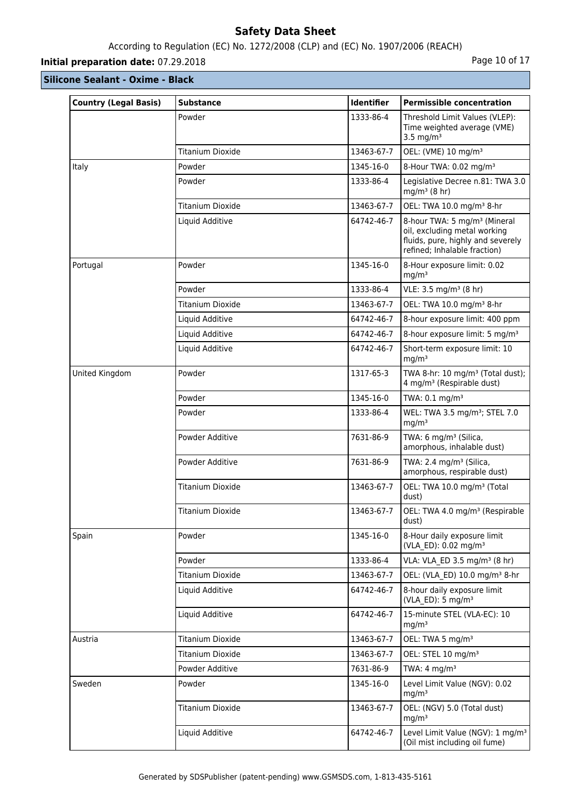# According to Regulation (EC) No. 1272/2008 (CLP) and (EC) No. 1907/2006 (REACH)

# **Initial preparation date:** 07.29.2018 **Page 10 of 17 Page 10 of 17**

| <b>Country (Legal Basis)</b> | <b>Substance</b>        | Identifier | <b>Permissible concentration</b>                                                                                                              |
|------------------------------|-------------------------|------------|-----------------------------------------------------------------------------------------------------------------------------------------------|
|                              | Powder                  | 1333-86-4  | Threshold Limit Values (VLEP):<br>Time weighted average (VME)<br>3.5 mg/m $3$                                                                 |
|                              | <b>Titanium Dioxide</b> | 13463-67-7 | OEL: (VME) 10 mg/m <sup>3</sup>                                                                                                               |
| Italy                        | Powder                  | 1345-16-0  | 8-Hour TWA: 0.02 mg/m <sup>3</sup>                                                                                                            |
|                              | Powder                  | 1333-86-4  | Legislative Decree n.81: TWA 3.0<br>$mg/m3$ (8 hr)                                                                                            |
|                              | <b>Titanium Dioxide</b> | 13463-67-7 | OEL: TWA 10.0 mg/m <sup>3</sup> 8-hr                                                                                                          |
|                              | Liquid Additive         | 64742-46-7 | 8-hour TWA: 5 mg/m <sup>3</sup> (Mineral<br>oil, excluding metal working<br>fluids, pure, highly and severely<br>refined; Inhalable fraction) |
| Portugal                     | Powder                  | 1345-16-0  | 8-Hour exposure limit: 0.02<br>mg/m <sup>3</sup>                                                                                              |
|                              | Powder                  | 1333-86-4  | VLE: 3.5 mg/m <sup>3</sup> (8 hr)                                                                                                             |
|                              | Titanium Dioxide        | 13463-67-7 | OEL: TWA 10.0 mg/m <sup>3</sup> 8-hr                                                                                                          |
|                              | Liquid Additive         | 64742-46-7 | 8-hour exposure limit: 400 ppm                                                                                                                |
|                              | Liquid Additive         | 64742-46-7 | 8-hour exposure limit: 5 mg/m <sup>3</sup>                                                                                                    |
|                              | Liquid Additive         | 64742-46-7 | Short-term exposure limit: 10<br>mg/m <sup>3</sup>                                                                                            |
| United Kingdom               | Powder                  | 1317-65-3  | TWA 8-hr: 10 mg/m <sup>3</sup> (Total dust);<br>4 mg/m <sup>3</sup> (Respirable dust)                                                         |
|                              | Powder                  | 1345-16-0  | TWA: 0.1 mg/m <sup>3</sup>                                                                                                                    |
|                              | Powder                  | 1333-86-4  | WEL: TWA 3.5 mg/m <sup>3</sup> ; STEL 7.0<br>mg/m <sup>3</sup>                                                                                |
|                              | Powder Additive         | 7631-86-9  | TWA: 6 mg/m <sup>3</sup> (Silica,<br>amorphous, inhalable dust)                                                                               |
|                              | Powder Additive         | 7631-86-9  | TWA: 2.4 mg/m <sup>3</sup> (Silica,<br>amorphous, respirable dust)                                                                            |
|                              | Titanium Dioxide        | 13463-67-7 | OEL: TWA 10.0 mg/m <sup>3</sup> (Total<br>dust)                                                                                               |
|                              | Titanium Dioxide        | 13463-67-7 | OEL: TWA 4.0 mg/m <sup>3</sup> (Respirable<br>dust)                                                                                           |
| Spain                        | Powder                  | 1345-16-0  | 8-Hour daily exposure limit<br>(VLA ED): 0.02 mg/m <sup>3</sup>                                                                               |
|                              | Powder                  | 1333-86-4  | VLA: VLA_ED 3.5 mg/m <sup>3</sup> (8 hr)                                                                                                      |
|                              | <b>Titanium Dioxide</b> | 13463-67-7 | OEL: (VLA ED) 10.0 mg/m <sup>3</sup> 8-hr                                                                                                     |
|                              | Liquid Additive         | 64742-46-7 | 8-hour daily exposure limit<br>(VLA ED): 5 mg/m <sup>3</sup>                                                                                  |
|                              | Liquid Additive         | 64742-46-7 | 15-minute STEL (VLA-EC): 10<br>mg/m <sup>3</sup>                                                                                              |
| Austria                      | <b>Titanium Dioxide</b> | 13463-67-7 | OEL: TWA 5 mg/m <sup>3</sup>                                                                                                                  |
|                              | Titanium Dioxide        | 13463-67-7 | OEL: STEL 10 mg/m <sup>3</sup>                                                                                                                |
|                              | Powder Additive         | 7631-86-9  | TWA: $4 \text{ mg/m}^3$                                                                                                                       |
| Sweden                       | Powder                  | 1345-16-0  | Level Limit Value (NGV): 0.02<br>mg/m <sup>3</sup>                                                                                            |
|                              | Titanium Dioxide        | 13463-67-7 | OEL: (NGV) 5.0 (Total dust)<br>mg/m <sup>3</sup>                                                                                              |
|                              | Liquid Additive         | 64742-46-7 | Level Limit Value (NGV): 1 mg/m <sup>3</sup><br>(Oil mist including oil fume)                                                                 |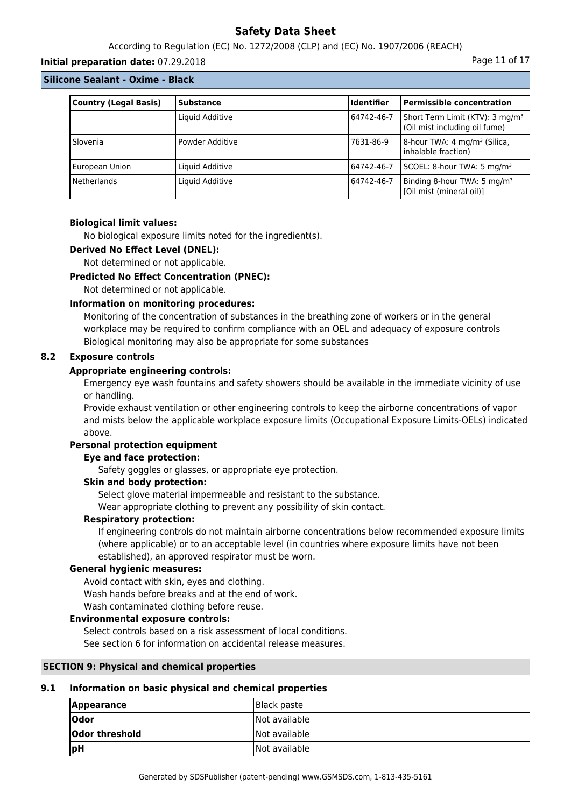According to Regulation (EC) No. 1272/2008 (CLP) and (EC) No. 1907/2006 (REACH)

#### **Initial preparation date:** 07.29.2018 **Page 11 of 17** and the page 11 of 17

#### **Silicone Sealant - Oxime - Black**

| <b>Country (Legal Basis)</b> | <b>Substance</b> | <b>Identifier</b> | <b>Permissible concentration</b>                                             |
|------------------------------|------------------|-------------------|------------------------------------------------------------------------------|
|                              | Liquid Additive  | 64742-46-7        | Short Term Limit (KTV): 3 mg/m <sup>3</sup><br>(Oil mist including oil fume) |
| Slovenia                     | Powder Additive  | 7631-86-9         | 8-hour TWA: 4 mg/m <sup>3</sup> (Silica,<br>inhalable fraction)              |
| European Union               | Liquid Additive  | 64742-46-7        | SCOEL: 8-hour TWA: 5 mg/m <sup>3</sup>                                       |
| <b>Netherlands</b>           | Liquid Additive  | 64742-46-7        | Binding 8-hour TWA: 5 mg/m <sup>3</sup><br>[Oil mist (mineral oil)]          |

#### **Biological limit values:**

No biological exposure limits noted for the ingredient(s).

#### **Derived No Effect Level (DNEL):**

Not determined or not applicable.

#### **Predicted No Effect Concentration (PNEC):**

Not determined or not applicable.

#### **Information on monitoring procedures:**

Monitoring of the concentration of substances in the breathing zone of workers or in the general workplace may be required to confirm compliance with an OEL and adequacy of exposure controls Biological monitoring may also be appropriate for some substances

#### **8.2 Exposure controls**

#### **Appropriate engineering controls:**

Emergency eye wash fountains and safety showers should be available in the immediate vicinity of use or handling.

Provide exhaust ventilation or other engineering controls to keep the airborne concentrations of vapor and mists below the applicable workplace exposure limits (Occupational Exposure Limits-OELs) indicated above.

## **Personal protection equipment**

### **Eye and face protection:**

Safety goggles or glasses, or appropriate eye protection.

### **Skin and body protection:**

Select glove material impermeable and resistant to the substance.

Wear appropriate clothing to prevent any possibility of skin contact.

#### **Respiratory protection:**

If engineering controls do not maintain airborne concentrations below recommended exposure limits (where applicable) or to an acceptable level (in countries where exposure limits have not been established), an approved respirator must be worn.

#### **General hygienic measures:**

Avoid contact with skin, eyes and clothing. Wash hands before breaks and at the end of work. Wash contaminated clothing before reuse.

#### **Environmental exposure controls:**

Select controls based on a risk assessment of local conditions.

See section 6 for information on accidental release measures.

#### **SECTION 9: Physical and chemical properties**

#### **9.1 Information on basic physical and chemical properties**

| <b>Appearance</b> | Black paste   |
|-------------------|---------------|
| <b>Odor</b>       | Not available |
| Odor threshold    | Not available |
| pH                | Not available |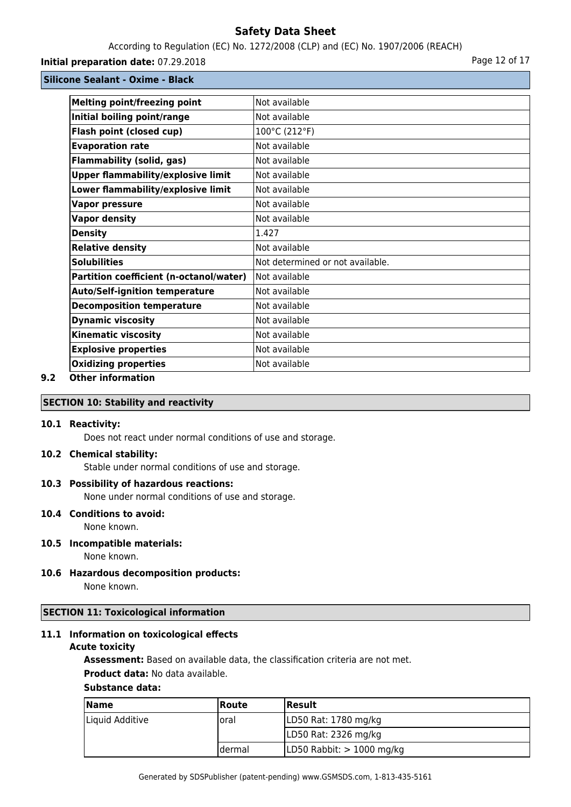According to Regulation (EC) No. 1272/2008 (CLP) and (EC) No. 1907/2006 (REACH)

## **Initial preparation date:** 07.29.2018 **Page 12 of 17** Page 12 of 17

**Silicone Sealant - Oxime - Black**

| <b>Melting point/freezing point</b>       | Not available                    |
|-------------------------------------------|----------------------------------|
| Initial boiling point/range               | Not available                    |
| Flash point (closed cup)                  | 100°C (212°F)                    |
| <b>Evaporation rate</b>                   | Not available                    |
| <b>Flammability (solid, gas)</b>          | Not available                    |
| <b>Upper flammability/explosive limit</b> | Not available                    |
| Lower flammability/explosive limit        | Not available                    |
| <b>Vapor pressure</b>                     | Not available                    |
| <b>Vapor density</b>                      | Not available                    |
| <b>Density</b>                            | 1.427                            |
| <b>Relative density</b>                   | Not available                    |
| <b>Solubilities</b>                       | Not determined or not available. |
| Partition coefficient (n-octanol/water)   | Not available                    |
| <b>Auto/Self-ignition temperature</b>     | Not available                    |
| <b>Decomposition temperature</b>          | Not available                    |
| <b>Dynamic viscosity</b>                  | Not available                    |
| <b>Kinematic viscosity</b>                | Not available                    |
| <b>Explosive properties</b>               | Not available                    |
| <b>Oxidizing properties</b>               | Not available                    |
|                                           |                                  |

## **9.2 Other information**

## **SECTION 10: Stability and reactivity**

#### **10.1 Reactivity:**

Does not react under normal conditions of use and storage.

#### **10.2 Chemical stability:**

Stable under normal conditions of use and storage.

#### **10.3 Possibility of hazardous reactions:**

None under normal conditions of use and storage.

#### **10.4 Conditions to avoid:**

None known.

## **10.5 Incompatible materials:**

None known.

#### **10.6 Hazardous decomposition products:** None known.

## **SECTION 11: Toxicological information**

## **11.1 Information on toxicological effects**

#### **Acute toxicity**

**Assessment:** Based on available data, the classification criteria are not met.

### **Product data:** No data available.

#### **Substance data:**

| <b>Name</b>     | <b>Route</b> | <b>Result</b>               |
|-----------------|--------------|-----------------------------|
| Liquid Additive | loral        | LD50 Rat: 1780 mg/kg        |
|                 |              | LD50 Rat: 2326 mg/kg        |
|                 | Idermal      | LD50 Rabbit: $> 1000$ mg/kg |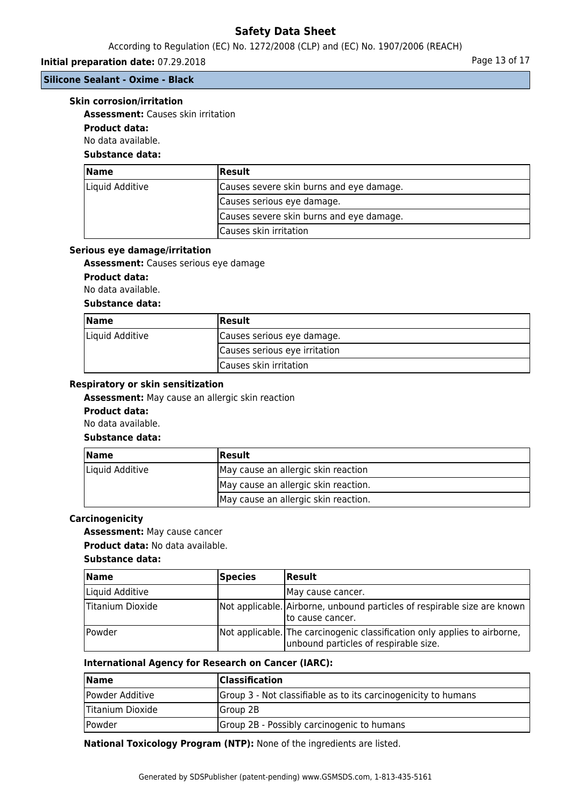### According to Regulation (EC) No. 1272/2008 (CLP) and (EC) No. 1907/2006 (REACH)

## **Initial preparation date:** 07.29.2018 **Page 13 of 17 Page 13 of 17**

## **Silicone Sealant - Oxime - Black**

#### **Skin corrosion/irritation**

**Assessment:** Causes skin irritation

## **Product data:**

No data available.

# **Substance data:**

| <b>Name</b>     | <b>Result</b>                            |
|-----------------|------------------------------------------|
| Liquid Additive | Causes severe skin burns and eye damage. |
|                 | Causes serious eye damage.               |
|                 | Causes severe skin burns and eye damage. |
|                 | Causes skin irritation                   |

#### **Serious eye damage/irritation**

**Assessment:** Causes serious eye damage

### **Product data:**

No data available.

## **Substance data:**

| <b>Name</b>     | <b>Result</b>                 |
|-----------------|-------------------------------|
| Liquid Additive | Causes serious eye damage.    |
|                 | Causes serious eye irritation |
|                 | Causes skin irritation        |

#### **Respiratory or skin sensitization**

**Assessment:** May cause an allergic skin reaction

#### **Product data:**

No data available.

## **Substance data:**

| <b>Name</b>     | Result                               |
|-----------------|--------------------------------------|
| Liquid Additive | May cause an allergic skin reaction  |
|                 | May cause an allergic skin reaction. |
|                 | May cause an allergic skin reaction. |

### **Carcinogenicity**

**Assessment:** May cause cancer

**Product data:** No data available.

#### **Substance data:**

| <b>Name</b>      | Species | <b>Result</b>                                                                                                      |
|------------------|---------|--------------------------------------------------------------------------------------------------------------------|
| Liquid Additive  |         | IMay cause cancer.                                                                                                 |
| Titanium Dioxide |         | Not applicable. Airborne, unbound particles of respirable size are known<br>Ito cause cancer.                      |
| Powder           |         | Not applicable. The carcinogenic classification only applies to airborne,<br>unbound particles of respirable size. |

#### **International Agency for Research on Cancer (IARC):**

| <b>Name</b>      | <b>Classification</b>                                          |
|------------------|----------------------------------------------------------------|
| Powder Additive  | Group 3 - Not classifiable as to its carcinogenicity to humans |
| Titanium Dioxide | <b>IGroup 2B</b>                                               |
| Powder           | Group 2B - Possibly carcinogenic to humans                     |

**National Toxicology Program (NTP):** None of the ingredients are listed.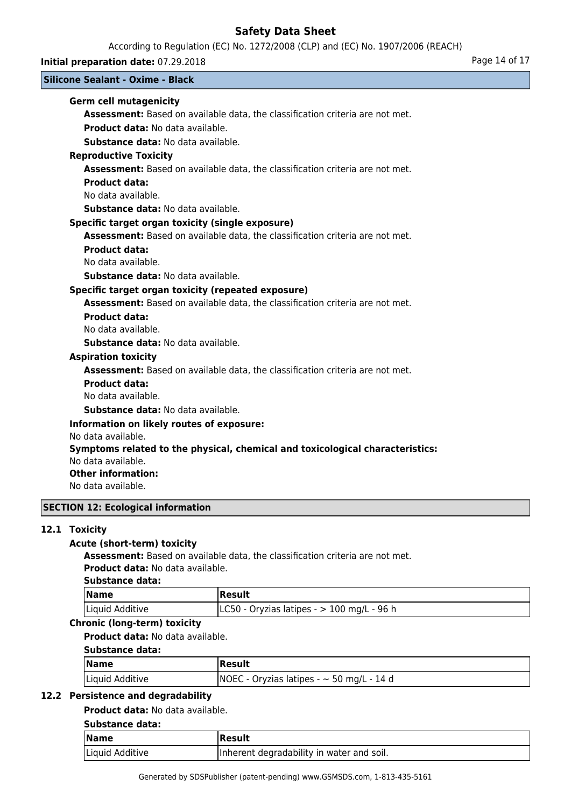According to Regulation (EC) No. 1272/2008 (CLP) and (EC) No. 1907/2006 (REACH)

**Initial preparation date:** 07.29.2018 **Page 14 of 17** Page 14 of 17

## **Silicone Sealant - Oxime - Black**

## **Germ cell mutagenicity**

**Assessment:** Based on available data, the classification criteria are not met. **Product data:** No data available.

**Substance data:** No data available.

### **Reproductive Toxicity**

**Assessment:** Based on available data, the classification criteria are not met.

### **Product data:**

No data available.

**Substance data:** No data available.

### **Specific target organ toxicity (single exposure)**

**Assessment:** Based on available data, the classification criteria are not met.

#### **Product data:**

No data available.

**Substance data:** No data available.

## **Specific target organ toxicity (repeated exposure)**

**Assessment:** Based on available data, the classification criteria are not met.

### **Product data:**

No data available.

**Substance data:** No data available.

#### **Aspiration toxicity**

**Assessment:** Based on available data, the classification criteria are not met.

### **Product data:**

No data available.

**Substance data:** No data available.

## **Information on likely routes of exposure:**

No data available.

## **Symptoms related to the physical, chemical and toxicological characteristics:**

No data available.

### **Other information:**

No data available.

## **SECTION 12: Ecological information**

## **12.1 Toxicity**

## **Acute (short-term) toxicity**

**Assessment:** Based on available data, the classification criteria are not met. **Product data:** No data available.

### **Substance data:**

| <b>Name</b>     | Result                                               |
|-----------------|------------------------------------------------------|
| Liquid Additive | $\lfloor$ LC50 - Oryzias latipes - > 100 mg/L - 96 h |

# **Chronic (long-term) toxicity**

**Product data:** No data available.

## **Substance data:**

| <b>Name</b>     | Result                                         |
|-----------------|------------------------------------------------|
| Liquid Additive | $NOEC - Oryzias latipes - \sim 50 mg/L - 14 d$ |

### **12.2 Persistence and degradability**

### **Product data:** No data available.

## **Substance data:**

| $\sqrt{\mathsf{Name}}$ | Result                                    |
|------------------------|-------------------------------------------|
| Liquid Additive        | Inherent degradability in water and soil. |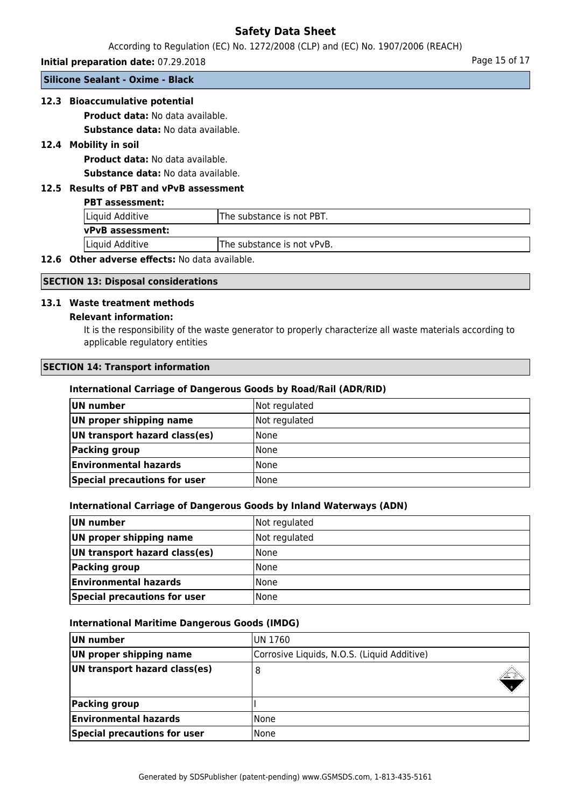According to Regulation (EC) No. 1272/2008 (CLP) and (EC) No. 1907/2006 (REACH)

**Initial preparation date:** 07.29.2018 **Page 15 of 17** Page 15 of 17

**Silicone Sealant - Oxime - Black**

## **12.3 Bioaccumulative potential**

**Product data:** No data available.

**Substance data:** No data available.

## **12.4 Mobility in soil**

**Product data:** No data available. **Substance data:** No data available.

## **12.5 Results of PBT and vPvB assessment**

#### **PBT assessment:**

| Liquid Additive         | The substance is not PBT.  |  |
|-------------------------|----------------------------|--|
| <b>vPvB</b> assessment: |                            |  |
| Liquid Additive         | The substance is not vPvB. |  |

## **12.6 Other adverse effects:** No data available.

## **SECTION 13: Disposal considerations**

### **13.1 Waste treatment methods**

#### **Relevant information:**

It is the responsibility of the waste generator to properly characterize all waste materials according to applicable regulatory entities

## **SECTION 14: Transport information**

### **International Carriage of Dangerous Goods by Road/Rail (ADR/RID)**

| UN number                     | Not regulated |
|-------------------------------|---------------|
| UN proper shipping name       | Not regulated |
| UN transport hazard class(es) | <b>None</b>   |
| Packing group                 | <b>None</b>   |
| <b>Environmental hazards</b>  | l None        |
| Special precautions for user  | None          |

#### **International Carriage of Dangerous Goods by Inland Waterways (ADN)**

| UN number                     | Not regulated |
|-------------------------------|---------------|
| UN proper shipping name       | Not regulated |
| UN transport hazard class(es) | l None        |
| Packing group                 | l None        |
| <b>Environmental hazards</b>  | l None        |
| Special precautions for user  | l None        |

#### **International Maritime Dangerous Goods (IMDG)**

| UN number                     | IUN 1760                                    |  |
|-------------------------------|---------------------------------------------|--|
| UN proper shipping name       | Corrosive Liquids, N.O.S. (Liquid Additive) |  |
| UN transport hazard class(es) | 8                                           |  |
| Packing group                 |                                             |  |
| <b>Environmental hazards</b>  | lNone                                       |  |
| Special precautions for user  | None                                        |  |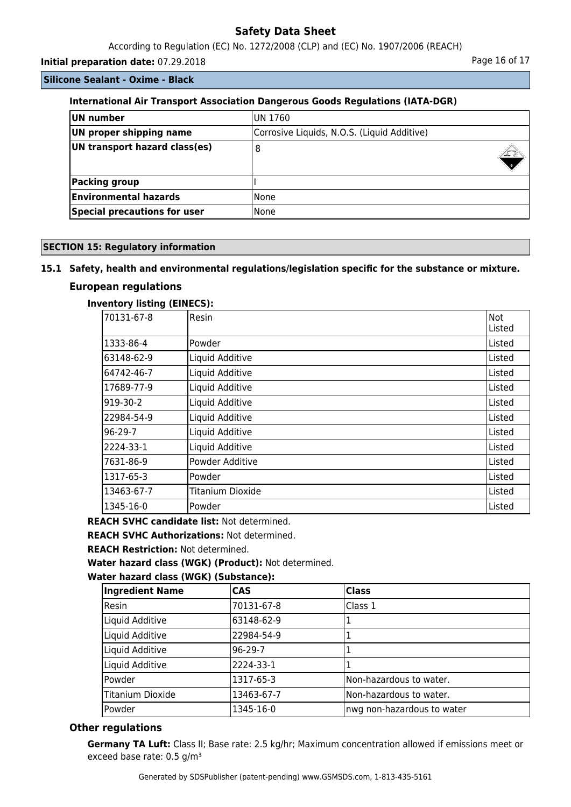According to Regulation (EC) No. 1272/2008 (CLP) and (EC) No. 1907/2006 (REACH)

**Initial preparation date:** 07.29.2018 **Page 16 of 17 Page 16 of 17** 

**Silicone Sealant - Oxime - Black**

## **International Air Transport Association Dangerous Goods Regulations (IATA-DGR)**

| UN number                           | IUN 1760                                    |  |
|-------------------------------------|---------------------------------------------|--|
| UN proper shipping name             | Corrosive Liquids, N.O.S. (Liquid Additive) |  |
| UN transport hazard class(es)       | 8                                           |  |
| Packing group                       |                                             |  |
| <b>Environmental hazards</b>        | l None                                      |  |
| <b>Special precautions for user</b> | l None                                      |  |

### **SECTION 15: Regulatory information**

### **15.1 Safety, health and environmental regulations/legislation specific for the substance or mixture.**

## **European regulations**

### **Inventory listing (EINECS):**

| 70131-67-8 | <b>Resin</b>     | lNot   |
|------------|------------------|--------|
|            |                  | Listed |
| 1333-86-4  | <b>Powder</b>    | Listed |
| 63148-62-9 | Liquid Additive  | Listed |
| 64742-46-7 | Liquid Additive  | Listed |
| 17689-77-9 | Liquid Additive  | Listed |
| 919-30-2   | Liquid Additive  | Listed |
| 22984-54-9 | Liquid Additive  | Listed |
| $96-29-7$  | Liquid Additive  | Listed |
| 2224-33-1  | Liquid Additive  | Listed |
| 7631-86-9  | Powder Additive  | Listed |
| 1317-65-3  | Powder           | Listed |
| 13463-67-7 | Titanium Dioxide | Listed |
| 1345-16-0  | Powder           | Listed |

**REACH SVHC candidate list:** Not determined.

**REACH SVHC Authorizations:** Not determined.

**REACH Restriction:** Not determined.

**Water hazard class (WGK) (Product):** Not determined.

### **Water hazard class (WGK) (Substance):**

| <b>Ingredient Name</b>  | <b>CAS</b> | <b>Class</b>               |
|-------------------------|------------|----------------------------|
| Resin                   | 70131-67-8 | Class 1                    |
| Liquid Additive         | 63148-62-9 |                            |
| Liquid Additive         | 22984-54-9 |                            |
| Liquid Additive         | 96-29-7    |                            |
| Liquid Additive         | 2224-33-1  |                            |
| Powder                  | 1317-65-3  | Non-hazardous to water.    |
| <b>Titanium Dioxide</b> | 13463-67-7 | Non-hazardous to water.    |
| Powder                  | 1345-16-0  | nwg non-hazardous to water |

## **Other regulations**

**Germany TA Luft:** Class II; Base rate: 2.5 kg/hr; Maximum concentration allowed if emissions meet or exceed base rate: 0.5 g/m<sup>3</sup>